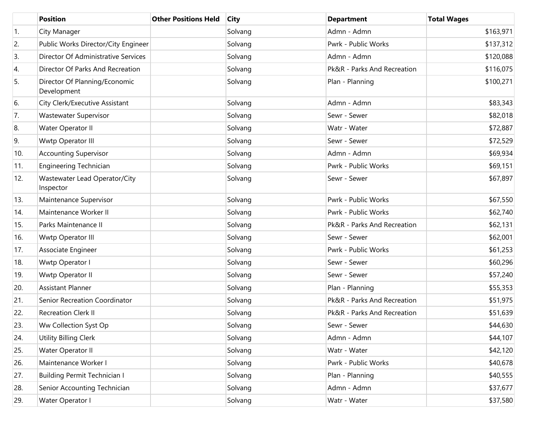|                  | <b>Position</b>                              | <b>Other Positions Held</b> | <b>City</b> | <b>Department</b>           | <b>Total Wages</b> |
|------------------|----------------------------------------------|-----------------------------|-------------|-----------------------------|--------------------|
| $\overline{1}$ . | City Manager                                 |                             | Solvang     | Admn - Admn                 | \$163,971          |
| 2.               | Public Works Director/City Engineer          |                             | Solvang     | Pwrk - Public Works         | \$137,312          |
| 3.               | Director Of Administrative Services          |                             | Solvang     | Admn - Admn                 | \$120,088          |
| 4.               | Director Of Parks And Recreation             |                             | Solvang     | Pk&R - Parks And Recreation | \$116,075          |
| 5.               | Director Of Planning/Economic<br>Development |                             | Solvang     | Plan - Planning             | \$100,271          |
| 6.               | City Clerk/Executive Assistant               |                             | Solvang     | Admn - Admn                 | \$83,343           |
| 7.               | Wastewater Supervisor                        |                             | Solvang     | Sewr - Sewer                | \$82,018           |
| 8.               | Water Operator II                            |                             | Solvang     | Watr - Water                | \$72,887           |
| 9.               | Wwtp Operator III                            |                             | Solvang     | Sewr - Sewer                | \$72,529           |
| 10.              | <b>Accounting Supervisor</b>                 |                             | Solvang     | Admn - Admn                 | \$69,934           |
| 11.              | <b>Engineering Technician</b>                |                             | Solvang     | Pwrk - Public Works         | \$69,151           |
| 12.              | Wastewater Lead Operator/City<br>Inspector   |                             | Solvang     | Sewr - Sewer                | \$67,897           |
| 13.              | Maintenance Supervisor                       |                             | Solvang     | Pwrk - Public Works         | \$67,550           |
| 14.              | Maintenance Worker II                        |                             | Solvang     | Pwrk - Public Works         | \$62,740           |
| 15.              | Parks Maintenance II                         |                             | Solvang     | Pk&R - Parks And Recreation | \$62,131           |
| 16.              | Wwtp Operator III                            |                             | Solvang     | Sewr - Sewer                | \$62,001           |
| 17.              | Associate Engineer                           |                             | Solvang     | Pwrk - Public Works         | \$61,253           |
| 18.              | Wwtp Operator I                              |                             | Solvang     | Sewr - Sewer                | \$60,296           |
| 19.              | Wwtp Operator II                             |                             | Solvang     | Sewr - Sewer                | \$57,240           |
| 20.              | <b>Assistant Planner</b>                     |                             | Solvang     | Plan - Planning             | \$55,353           |
| 21.              | Senior Recreation Coordinator                |                             | Solvang     | Pk&R - Parks And Recreation | \$51,975           |
| 22.              | <b>Recreation Clerk II</b>                   |                             | Solvang     | Pk&R - Parks And Recreation | \$51,639           |
| 23.              | Ww Collection Syst Op                        |                             | Solvang     | Sewr - Sewer                | \$44,630           |
| 24.              | Utility Billing Clerk                        |                             | Solvang     | Admn - Admn                 | \$44,107           |
| 25.              | Water Operator II                            |                             | Solvang     | Watr - Water                | \$42,120           |
| 26.              | Maintenance Worker I                         |                             | Solvang     | Pwrk - Public Works         | \$40,678           |
| 27.              | <b>Building Permit Technician I</b>          |                             | Solvang     | Plan - Planning             | \$40,555           |
| 28.              | Senior Accounting Technician                 |                             | Solvang     | Admn - Admn                 | \$37,677           |
| 29.              | Water Operator I                             |                             | Solvang     | Watr - Water                | \$37,580           |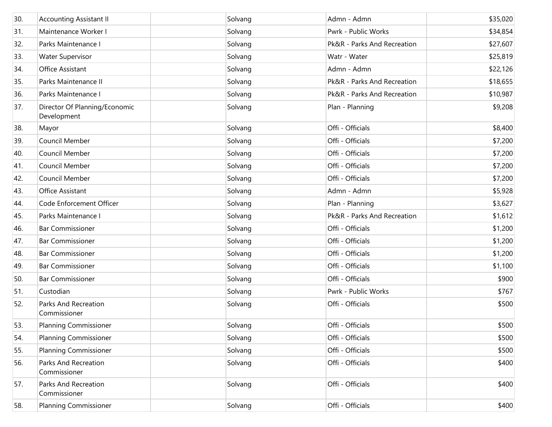| 30. | <b>Accounting Assistant II</b>               | Solvang | Admn - Admn                 | \$35,020 |
|-----|----------------------------------------------|---------|-----------------------------|----------|
| 31. | Maintenance Worker I                         | Solvang | Pwrk - Public Works         | \$34,854 |
| 32. | Parks Maintenance I                          | Solvang | Pk&R - Parks And Recreation | \$27,607 |
| 33. | <b>Water Supervisor</b>                      | Solvang | Watr - Water                | \$25,819 |
| 34. | Office Assistant                             | Solvang | Admn - Admn                 | \$22,126 |
| 35. | Parks Maintenance II                         | Solvang | Pk&R - Parks And Recreation | \$18,655 |
| 36. | Parks Maintenance I                          | Solvang | Pk&R - Parks And Recreation | \$10,987 |
| 37. | Director Of Planning/Economic<br>Development | Solvang | Plan - Planning             | \$9,208  |
| 38. | Mayor                                        | Solvang | Offi - Officials            | \$8,400  |
| 39. | Council Member                               | Solvang | Offi - Officials            | \$7,200  |
| 40. | Council Member                               | Solvang | Offi - Officials            | \$7,200  |
| 41. | Council Member                               | Solvang | Offi - Officials            | \$7,200  |
| 42. | Council Member                               | Solvang | Offi - Officials            | \$7,200  |
| 43. | Office Assistant                             | Solvang | Admn - Admn                 | \$5,928  |
| 44. | Code Enforcement Officer                     | Solvang | Plan - Planning             | \$3,627  |
| 45. | Parks Maintenance I                          | Solvang | Pk&R - Parks And Recreation | \$1,612  |
| 46. | <b>Bar Commissioner</b>                      | Solvang | Offi - Officials            | \$1,200  |
| 47. | <b>Bar Commissioner</b>                      | Solvang | Offi - Officials            | \$1,200  |
| 48. | <b>Bar Commissioner</b>                      | Solvang | Offi - Officials            | \$1,200  |
| 49. | <b>Bar Commissioner</b>                      | Solvang | Offi - Officials            | \$1,100  |
| 50. | <b>Bar Commissioner</b>                      | Solvang | Offi - Officials            | \$900    |
| 51. | Custodian                                    | Solvang | Pwrk - Public Works         | \$767    |
| 52. | <b>Parks And Recreation</b><br>Commissioner  | Solvang | Offi - Officials            | \$500    |
| 53. | Planning Commissioner                        | Solvang | Offi - Officials            | \$500    |
| 54. | <b>Planning Commissioner</b>                 | Solvang | Offi - Officials            | \$500    |
| 55. | <b>Planning Commissioner</b>                 | Solvang | Offi - Officials            | \$500    |
| 56. | Parks And Recreation<br>Commissioner         | Solvang | Offi - Officials            | \$400    |
| 57. | <b>Parks And Recreation</b><br>Commissioner  | Solvang | Offi - Officials            | \$400    |
| 58. | <b>Planning Commissioner</b>                 | Solvang | Offi - Officials            | \$400    |